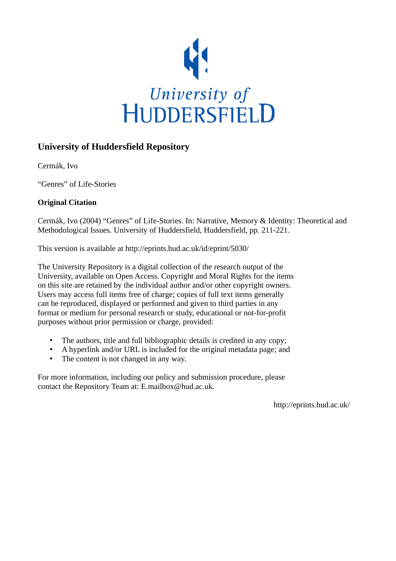

## **University of Huddersfield Repository**

Cermák, Ivo

"Genres" of Life-Stories

### **Original Citation**

Cermák, Ivo (2004) "Genres" of Life-Stories. In: Narrative, Memory & Identity: Theoretical and Methodological Issues. University of Huddersfield, Huddersfield, pp. 211-221.

This version is available at http://eprints.hud.ac.uk/id/eprint/5030/

The University Repository is a digital collection of the research output of the University, available on Open Access. Copyright and Moral Rights for the items on this site are retained by the individual author and/or other copyright owners. Users may access full items free of charge; copies of full text items generally can be reproduced, displayed or performed and given to third parties in any format or medium for personal research or study, educational or not-for-profit purposes without prior permission or charge, provided:

- The authors, title and full bibliographic details is credited in any copy;
- A hyperlink and/or URL is included for the original metadata page; and
- The content is not changed in any way.

For more information, including our policy and submission procedure, please contact the Repository Team at: E.mailbox@hud.ac.uk.

http://eprints.hud.ac.uk/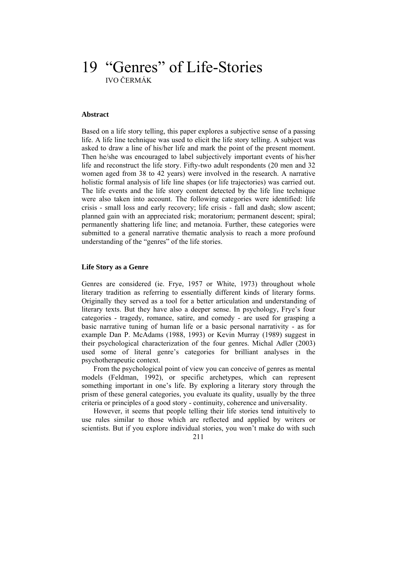# 19 "Genres" of Life-Stories IVO ČERMÁK

#### **Abstract**

Based on a life story telling, this paper explores a subjective sense of a passing life. A life line technique was used to elicit the life story telling. A subject was asked to draw a line of his/her life and mark the point of the present moment. Then he/she was encouraged to label subjectively important events of his/her life and reconstruct the life story. Fifty-two adult respondents (20 men and 32 women aged from 38 to 42 years) were involved in the research. A narrative holistic formal analysis of life line shapes (or life trajectories) was carried out. The life events and the life story content detected by the life line technique were also taken into account. The following categories were identified: life crisis - small loss and early recovery; life crisis - fall and dash; slow ascent; planned gain with an appreciated risk; moratorium; permanent descent; spiral; permanently shattering life line; and metanoia. Further, these categories were submitted to a general narrative thematic analysis to reach a more profound understanding of the "genres" of the life stories.

#### **Life Story as a Genre**

Genres are considered (ie. Frye, 1957 or White, 1973) throughout whole literary tradition as referring to essentially different kinds of literary forms. Originally they served as a tool for a better articulation and understanding of literary texts. But they have also a deeper sense. In psychology, Frye's four categories - tragedy, romance, satire, and comedy - are used for grasping a basic narrative tuning of human life or a basic personal narrativity - as for example Dan P. McAdams (1988, 1993) or Kevin Murray (1989) suggest in their psychological characterization of the four genres. Michal Adler (2003) used some of literal genre's categories for brilliant analyses in the psychotherapeutic context.

 From the psychological point of view you can conceive of genres as mental models (Feldman, 1992), or specific archetypes, which can represent something important in one's life. By exploring a literary story through the prism of these general categories, you evaluate its quality, usually by the three criteria or principles of a good story - continuity, coherence and universality.

 However, it seems that people telling their life stories tend intuitively to use rules similar to those which are reflected and applied by writers or scientists. But if you explore individual stories, you won't make do with such

211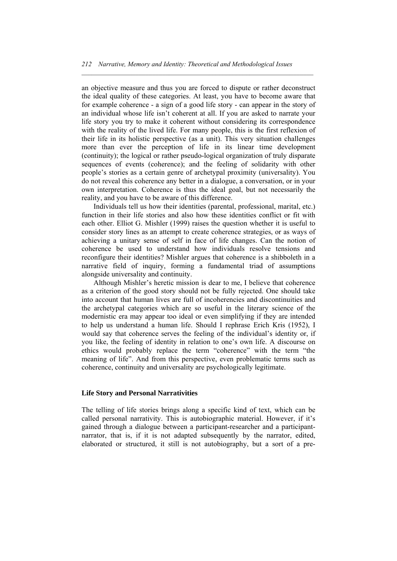$\mathcal{L} = \{ \mathcal{L} \mathcal{L} \mathcal{L} \mathcal{L} \mathcal{L} \mathcal{L} \mathcal{L} \mathcal{L} \mathcal{L} \mathcal{L} \mathcal{L} \mathcal{L} \mathcal{L} \mathcal{L} \mathcal{L} \mathcal{L} \mathcal{L} \mathcal{L} \mathcal{L} \mathcal{L} \mathcal{L} \mathcal{L} \mathcal{L} \mathcal{L} \mathcal{L} \mathcal{L} \mathcal{L} \mathcal{L} \mathcal{L} \mathcal{L} \mathcal{L} \mathcal{L} \mathcal{L} \mathcal{L} \mathcal{L} \$ 

an objective measure and thus you are forced to dispute or rather deconstruct the ideal quality of these categories. At least, you have to become aware that for example coherence - a sign of a good life story - can appear in the story of an individual whose life isn't coherent at all. If you are asked to narrate your life story you try to make it coherent without considering its correspondence with the reality of the lived life. For many people, this is the first reflexion of their life in its holistic perspective (as a unit). This very situation challenges more than ever the perception of life in its linear time development (continuity); the logical or rather pseudo-logical organization of truly disparate sequences of events (coherence); and the feeling of solidarity with other people's stories as a certain genre of archetypal proximity (universality). You do not reveal this coherence any better in a dialogue, a conversation, or in your own interpretation. Coherence is thus the ideal goal, but not necessarily the reality, and you have to be aware of this difference.

 Individuals tell us how their identities (parental, professional, marital, etc.) function in their life stories and also how these identities conflict or fit with each other. Elliot G. Mishler (1999) raises the question whether it is useful to consider story lines as an attempt to create coherence strategies, or as ways of achieving a unitary sense of self in face of life changes. Can the notion of coherence be used to understand how individuals resolve tensions and reconfigure their identities? Mishler argues that coherence is a shibboleth in a narrative field of inquiry, forming a fundamental triad of assumptions alongside universality and continuity.

 Although Mishler's heretic mission is dear to me, I believe that coherence as a criterion of the good story should not be fully rejected. One should take into account that human lives are full of incoherencies and discontinuities and the archetypal categories which are so useful in the literary science of the modernistic era may appear too ideal or even simplifying if they are intended to help us understand a human life. Should I rephrase Erich Kris (1952), I would say that coherence serves the feeling of the individual's identity or, if you like, the feeling of identity in relation to one's own life. A discourse on ethics would probably replace the term "coherence" with the term "the meaning of life". And from this perspective, even problematic terms such as coherence, continuity and universality are psychologically legitimate.

#### **Life Story and Personal Narrativities**

The telling of life stories brings along a specific kind of text, which can be called personal narrativity. This is autobiographic material. However, if it's gained through a dialogue between a participant-researcher and a participantnarrator, that is, if it is not adapted subsequently by the narrator, edited, elaborated or structured, it still is not autobiography, but a sort of a pre-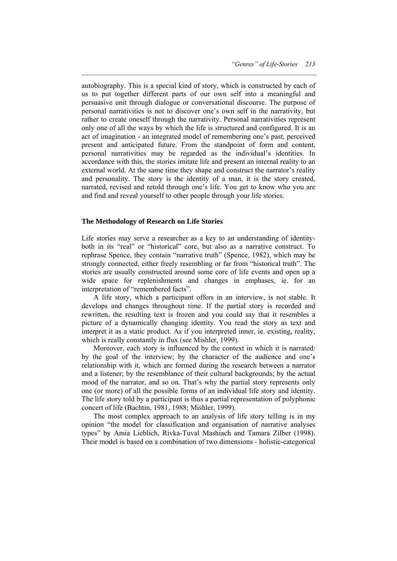autobiography. This is a special kind of story, which is constructed by each of us to put together different parts of our own self into a meaningful and persuasive unit through dialogue or conversational discourse. The purpose of personal narrativities is not to discover one's own self in the narrativity, but rather to create oneself through the narrativity. Personal narrativities represent only one of all the ways by which the life is structured and configured. It is an act of imagination - an integrated model of remembering one's past, perceived present and anticipated future. From the standpoint of form and content, personal narrativities may be regarded as the individual's identities. In accordance with this, the stories imitate life and present an internal reality to an external world. At the same time they shape and construct the narrator's reality and personality. The story is the identity of a man, it is the story created, narrated, revised and retold through one's life. You get to know who you are and find and reveal yourself to other people through your life stories.

 $\mathcal{L} = \{ \mathcal{L} \mathcal{L} \mathcal{L} \mathcal{L} \mathcal{L} \mathcal{L} \mathcal{L} \mathcal{L} \mathcal{L} \mathcal{L} \mathcal{L} \mathcal{L} \mathcal{L} \mathcal{L} \mathcal{L} \mathcal{L} \mathcal{L} \mathcal{L} \mathcal{L} \mathcal{L} \mathcal{L} \mathcal{L} \mathcal{L} \mathcal{L} \mathcal{L} \mathcal{L} \mathcal{L} \mathcal{L} \mathcal{L} \mathcal{L} \mathcal{L} \mathcal{L} \mathcal{L} \mathcal{L} \mathcal{L} \$ 

#### **The Methodology of Research on Life Stories**

Life stories may serve a researcher as a key to an understanding of identityboth in its "real" or "historical" core, but also as a narrative construct. To rephrase Spence, they contain "narrative truth" (Spence, 1982), which may be strongly connected, either freely resembling or far from "historical truth". The stories are usually constructed around some core of life events and open up a wide space for replenishments and changes in emphases, ie. for an interpretation of "remembered facts".

 A life story, which a participant offers in an interview, is not stable. It develops and changes throughout time. If the partial story is recorded and rewritten, the resulting text is frozen and you could say that it resembles a picture of a dynamically changing identity. You read the story as text and interpret it as a static product. As if you interpreted inner, ie. existing, reality, which is really constantly in flux (see Mishler, 1999).

 Moreover, each story is influenced by the context in which it is narrated: by the goal of the interview; by the character of the audience and one's relationship with it, which are formed during the research between a narrator and a listener; by the resemblance of their cultural backgrounds; by the actual mood of the narrator, and so on. That's why the partial story represents only one (or more) of all the possible forms of an individual life story and identity. The life story told by a participant is thus a partial representation of polyphonic concert of life (Bachtin, 1981, 1988; Mishler, 1999).

 The most complex approach to an analysis of life story telling is in my opinion "the model for classification and organisation of narrative analyses types" by Amia Lieblich, Rivka-Tuval Mashiach and Tamara Zilber (1998). Their model is based on a combination of two dimensions - holistic-categorical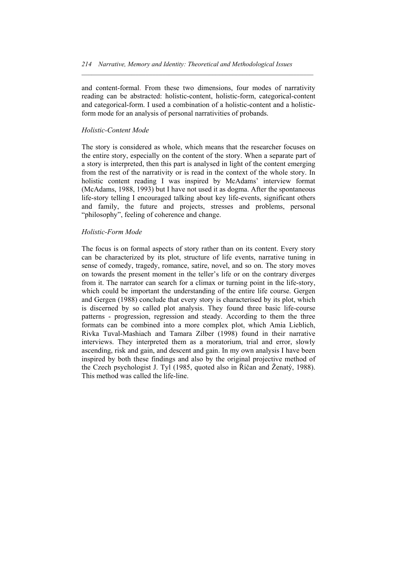and content-formal. From these two dimensions, four modes of narrativity reading can be abstracted: holistic-content, holistic-form, categorical-content and categorical-form. I used a combination of a holistic-content and a holisticform mode for an analysis of personal narrativities of probands.

 $\mathcal{L} = \{ \mathcal{L} \mathcal{L} \mathcal{L} \mathcal{L} \mathcal{L} \mathcal{L} \mathcal{L} \mathcal{L} \mathcal{L} \mathcal{L} \mathcal{L} \mathcal{L} \mathcal{L} \mathcal{L} \mathcal{L} \mathcal{L} \mathcal{L} \mathcal{L} \mathcal{L} \mathcal{L} \mathcal{L} \mathcal{L} \mathcal{L} \mathcal{L} \mathcal{L} \mathcal{L} \mathcal{L} \mathcal{L} \mathcal{L} \mathcal{L} \mathcal{L} \mathcal{L} \mathcal{L} \mathcal{L} \mathcal{L} \$ 

#### *Holistic-Content Mode*

The story is considered as whole, which means that the researcher focuses on the entire story, especially on the content of the story. When a separate part of a story is interpreted, then this part is analysed in light of the content emerging from the rest of the narrativity or is read in the context of the whole story. In holistic content reading I was inspired by McAdams' interview format (McAdams, 1988, 1993) but I have not used it as dogma. After the spontaneous life-story telling I encouraged talking about key life-events, significant others and family, the future and projects, stresses and problems, personal "philosophy", feeling of coherence and change.

#### *Holistic-Form Mode*

The focus is on formal aspects of story rather than on its content. Every story can be characterized by its plot, structure of life events, narrative tuning in sense of comedy, tragedy, romance, satire, novel, and so on. The story moves on towards the present moment in the teller's life or on the contrary diverges from it. The narrator can search for a climax or turning point in the life-story, which could be important the understanding of the entire life course. Gergen and Gergen (1988) conclude that every story is characterised by its plot, which is discerned by so called plot analysis. They found three basic life-course patterns - progression, regression and steady. According to them the three formats can be combined into a more complex plot, which Amia Lieblich, Rivka Tuval-Mashiach and Tamara Zilber (1998) found in their narrative interviews. They interpreted them as a moratorium, trial and error, slowly ascending, risk and gain, and descent and gain. In my own analysis I have been inspired by both these findings and also by the original projective method of the Czech psychologist J. Tyl (1985, quoted also in Říčan and Ženatý, 1988). This method was called the life-line.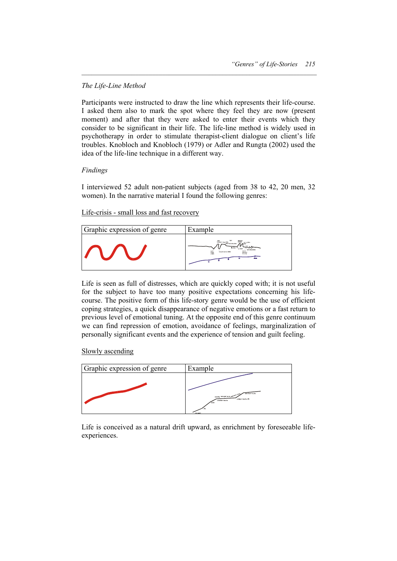#### *The Life-Line Method*

Participants were instructed to draw the line which represents their life-course. I asked them also to mark the spot where they feel they are now (present moment) and after that they were asked to enter their events which they consider to be significant in their life. The life-line method is widely used in psychotherapy in order to stimulate therapist-client dialogue on client's life troubles. Knobloch and Knobloch (1979) or Adler and Rungta (2002) used the idea of the life-line technique in a different way.

 $\mathcal{L} = \{ \mathcal{L} \mathcal{L} \mathcal{L} \mathcal{L} \mathcal{L} \mathcal{L} \mathcal{L} \mathcal{L} \mathcal{L} \mathcal{L} \mathcal{L} \mathcal{L} \mathcal{L} \mathcal{L} \mathcal{L} \mathcal{L} \mathcal{L} \mathcal{L} \mathcal{L} \mathcal{L} \mathcal{L} \mathcal{L} \mathcal{L} \mathcal{L} \mathcal{L} \mathcal{L} \mathcal{L} \mathcal{L} \mathcal{L} \mathcal{L} \mathcal{L} \mathcal{L} \mathcal{L} \mathcal{L} \mathcal{L} \$ 

#### *Findings*

I interviewed 52 adult non-patient subjects (aged from 38 to 42, 20 men, 32 women). In the narrative material I found the following genres:

Life-crisis - small loss and fast recovery



Life is seen as full of distresses, which are quickly coped with; it is not useful for the subject to have too many positive expectations concerning his lifecourse. The positive form of this life-story genre would be the use of efficient coping strategies, a quick disappearance of negative emotions or a fast return to previous level of emotional tuning. At the opposite end of this genre continuum we can find repression of emotion, avoidance of feelings, marginalization of personally significant events and the experience of tension and guilt feeling.

Slowly ascending



Life is conceived as a natural drift upward, as enrichment by foreseeable lifeexperiences.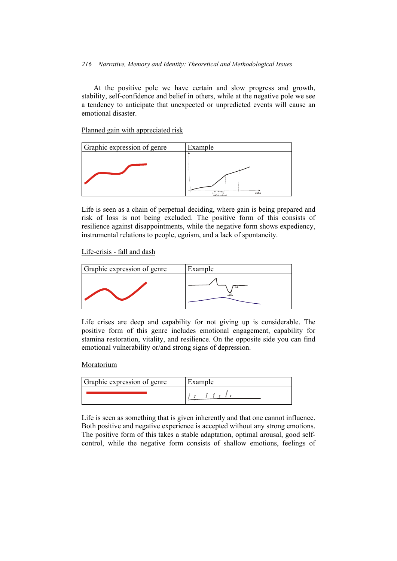At the positive pole we have certain and slow progress and growth, stability, self-confidence and belief in others, while at the negative pole we see a tendency to anticipate that unexpected or unpredicted events will cause an emotional disaster.

 $\mathcal{L} = \{ \mathcal{L} \mathcal{L} \mathcal{L} \mathcal{L} \mathcal{L} \mathcal{L} \mathcal{L} \mathcal{L} \mathcal{L} \mathcal{L} \mathcal{L} \mathcal{L} \mathcal{L} \mathcal{L} \mathcal{L} \mathcal{L} \mathcal{L} \mathcal{L} \mathcal{L} \mathcal{L} \mathcal{L} \mathcal{L} \mathcal{L} \mathcal{L} \mathcal{L} \mathcal{L} \mathcal{L} \mathcal{L} \mathcal{L} \mathcal{L} \mathcal{L} \mathcal{L} \mathcal{L} \mathcal{L} \mathcal{L} \$ 

Planned gain with appreciated risk



Life is seen as a chain of perpetual deciding, where gain is being prepared and risk of loss is not being excluded. The positive form of this consists of resilience against disappointments, while the negative form shows expediency, instrumental relations to people, egoism, and a lack of spontaneity.

Life-crisis - fall and dash



Life crises are deep and capability for not giving up is considerable. The positive form of this genre includes emotional engagement, capability for stamina restoration, vitality, and resilience. On the opposite side you can find emotional vulnerability or/and strong signs of depression.

#### Moratorium

| Graphic expression of genre | Example |
|-----------------------------|---------|
|                             |         |

Life is seen as something that is given inherently and that one cannot influence. Both positive and negative experience is accepted without any strong emotions. The positive form of this takes a stable adaptation, optimal arousal, good selfcontrol, while the negative form consists of shallow emotions, feelings of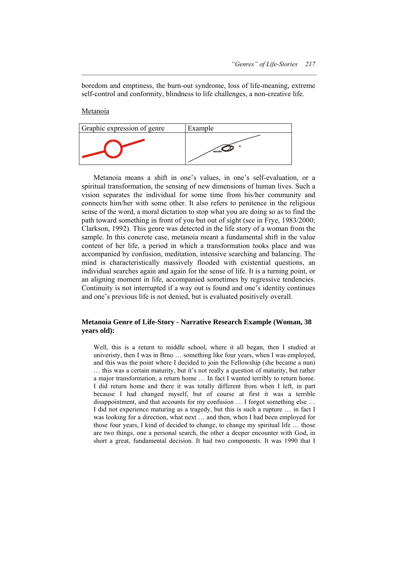boredom and emptiness, the burn-out syndrome, loss of life-meaning, extreme self-control and conformity, blindness to life challenges, a non-creative life.

 $\mathcal{L} = \{ \mathcal{L} \mathcal{L} \mathcal{L} \mathcal{L} \mathcal{L} \mathcal{L} \mathcal{L} \mathcal{L} \mathcal{L} \mathcal{L} \mathcal{L} \mathcal{L} \mathcal{L} \mathcal{L} \mathcal{L} \mathcal{L} \mathcal{L} \mathcal{L} \mathcal{L} \mathcal{L} \mathcal{L} \mathcal{L} \mathcal{L} \mathcal{L} \mathcal{L} \mathcal{L} \mathcal{L} \mathcal{L} \mathcal{L} \mathcal{L} \mathcal{L} \mathcal{L} \mathcal{L} \mathcal{L} \mathcal{L} \$ 

Metanoia

| Graphic expression of genre | Example        |
|-----------------------------|----------------|
|                             | 90<br>maturita |

 Metanoia means a shift in one's values, in one's self-evaluation, or a spiritual transformation, the sensing of new dimensions of human lives. Such a vision separates the individual for some time from his/her community and connects him/her with some other. It also refers to penitence in the religious sense of the word, a moral dictation to stop what you are doing so as to find the path toward something in front of you but out of sight (see in Frye, 1983/2000; Clarkson, 1992). This genre was detected in the life story of a woman from the sample. In this concrete case, metanoia meant a fundamental shift in the value content of her life, a period in which a transformation tooks place and was accompanied by confusion, meditation, intensive searching and balancing. The mind is characteristically massively flooded with existential questions, an individual searches again and again for the sense of life. It is a turning point, or an aligning moment in life, accompanied sometimes by regressive tendencies. Continuity is not interrupted if a way out is found and one's identity continues and one's previous life is not denied, but is evaluated positively overall.

#### **Metanoia Genre of Life-Story - Narrative Research Example (Woman, 38 years old):**

Well, this is a return to middle school, where it all began, then I studied at univeristy, then I was in Brno … something like four years, when I was employed, and this was the point where I decided to join the Fellowship (she became a nun) … this was a certain maturity, but it's not really a question of maturity, but rather a major transformation, a return home … In fact I wanted terribly to return home. I did return home and there it was totally different from when I left, in part because I had changed myself, but of course at first it was a terrible disappointment, and that accounts for my confusion … I forgot something else … I did not experience maturing as a tragedy, but this is such a rupture … in fact I was looking for a direction, what next … and then, when I had been employed for those four years, I kind of decided to change, to change my spiritual life … those are two things, one a personal search, the other a deeper encounter with God, in short a great, fundamental decision. It had two components. It was 1990 that I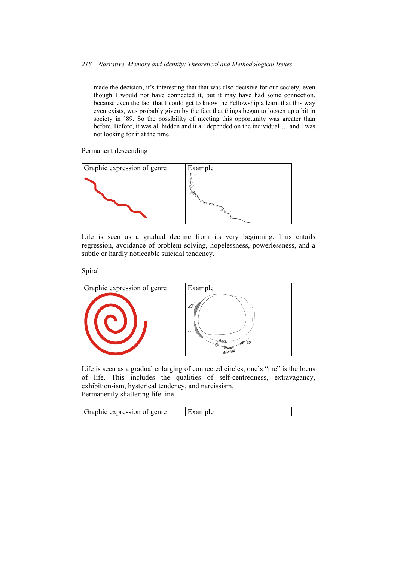$\mathcal{L} = \{ \mathcal{L} \mathcal{L} \mathcal{L} \mathcal{L} \mathcal{L} \mathcal{L} \mathcal{L} \mathcal{L} \mathcal{L} \mathcal{L} \mathcal{L} \mathcal{L} \mathcal{L} \mathcal{L} \mathcal{L} \mathcal{L} \mathcal{L} \mathcal{L} \mathcal{L} \mathcal{L} \mathcal{L} \mathcal{L} \mathcal{L} \mathcal{L} \mathcal{L} \mathcal{L} \mathcal{L} \mathcal{L} \mathcal{L} \mathcal{L} \mathcal{L} \mathcal{L} \mathcal{L} \mathcal{L} \mathcal{L} \$ 

made the decision, it's interesting that that was also decisive for our society, even though I would not have connected it, but it may have had some connection, because even the fact that I could get to know the Fellowship a learn that this way even exists, was probably given by the fact that things began to loosen up a bit in society in '89. So the possibility of meeting this opportunity was greater than before. Before, it was all hidden and it all depended on the individual … and I was not looking for it at the time.

Permanent descending



Life is seen as a gradual decline from its very beginning. This entails regression, avoidance of problem solving, hopelessness, powerlessness, and a subtle or hardly noticeable suicidal tendency.

**Spiral** 



Life is seen as a gradual enlarging of connected circles, one's "me" is the locus of life. This includes the qualities of self-centredness, extravagancy, exhibition-ism, hysterical tendency, and narcissism. Permanently shattering life line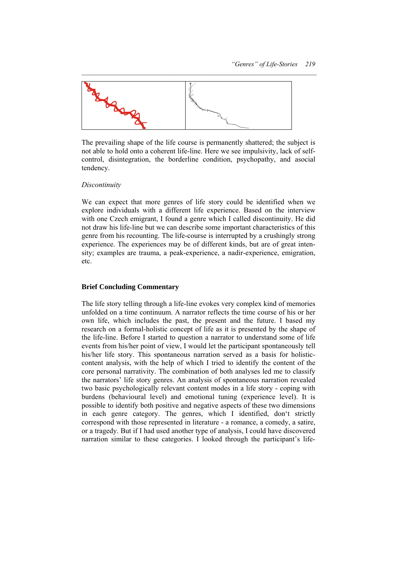

The prevailing shape of the life course is permanently shattered; the subject is not able to hold onto a coherent life-line. Here we see impulsivity, lack of selfcontrol, disintegration, the borderline condition, psychopathy, and asocial tendency.

#### *Discontinuity*

We can expect that more genres of life story could be identified when we explore individuals with a different life experience. Based on the interview with one Czech emigrant, I found a genre which I called discontinuity. He did not draw his life-line but we can describe some important characteristics of this genre from his recounting. The life-course is interrupted by a crushingly strong experience. The experiences may be of different kinds, but are of great intensity; examples are trauma, a peak-experience, a nadir-experience, emigration, etc.

#### **Brief Concluding Commentary**

The life story telling through a life-line evokes very complex kind of memories unfolded on a time continuum. A narrator reflects the time course of his or her own life, which includes the past, the present and the future. I based my research on a formal-holistic concept of life as it is presented by the shape of the life-line. Before I started to question a narrator to understand some of life events from his/her point of view, I would let the participant spontaneously tell his/her life story. This spontaneous narration served as a basis for holisticcontent analysis, with the help of which I tried to identify the content of the core personal narrativity. The combination of both analyses led me to classify the narrators' life story genres. An analysis of spontaneous narration revealed two basic psychologically relevant content modes in a life story - coping with burdens (behavioural level) and emotional tuning (experience level). It is possible to identify both positive and negative aspects of these two dimensions in each genre category. The genres, which I identified, don't strictly correspond with those represented in literature - a romance, a comedy, a satire, or a tragedy. But if I had used another type of analysis, I could have discovered narration similar to these categories. I looked through the participant's life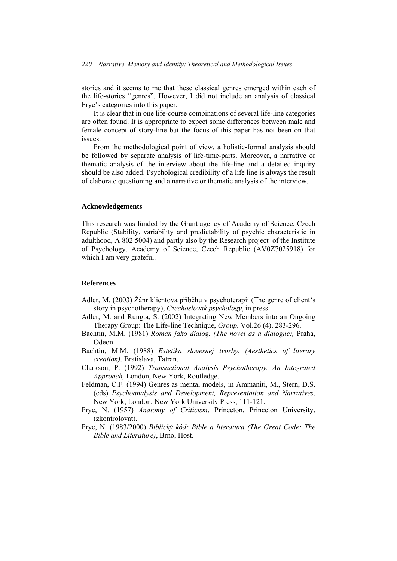stories and it seems to me that these classical genres emerged within each of the life-stories "genres". However, I did not include an analysis of classical Frye's categories into this paper.

 $\mathcal{L} = \{ \mathcal{L} \mathcal{L} \mathcal{L} \mathcal{L} \mathcal{L} \mathcal{L} \mathcal{L} \mathcal{L} \mathcal{L} \mathcal{L} \mathcal{L} \mathcal{L} \mathcal{L} \mathcal{L} \mathcal{L} \mathcal{L} \mathcal{L} \mathcal{L} \mathcal{L} \mathcal{L} \mathcal{L} \mathcal{L} \mathcal{L} \mathcal{L} \mathcal{L} \mathcal{L} \mathcal{L} \mathcal{L} \mathcal{L} \mathcal{L} \mathcal{L} \mathcal{L} \mathcal{L} \mathcal{L} \mathcal{L} \$ 

 It is clear that in one life-course combinations of several life-line categories are often found. It is appropriate to expect some differences between male and female concept of story-line but the focus of this paper has not been on that issues.

 From the methodological point of view, a holistic-formal analysis should be followed by separate analysis of life-time-parts. Moreover, a narrative or thematic analysis of the interview about the life-line and a detailed inquiry should be also added. Psychological credibility of a life line is always the result of elaborate questioning and a narrative or thematic analysis of the interview.

#### **Acknowledgements**

This research was funded by the Grant agency of Academy of Science, Czech Republic (Stability, variability and predictability of psychic characteristic in adulthood, A 802 5004) and partly also by the Research project of the Institute of Psychology, Academy of Science, Czech Republic (AV0Z7025918) for which I am very grateful.

#### **References**

- Adler, M. (2003) Žánr klientova příběhu v psychoterapii (The genre of client's story in psychotherapy), *Czechoslovak psychology*, in press.
- Adler, M. and Rungta, S. (2002) Integrating New Members into an Ongoing Therapy Group: The Life-line Technique, *Group,* Vol.26 (4), 283-296.
- Bachtin, M.M. (1981) *Román jako dialog*, *(The novel as a dialogue),* Praha, Odeon.
- Bachtin, M.M. (1988) *Estetika slovesnej tvorby*, *(Aesthetics of literary creation),* Bratislava, Tatran.
- Clarkson, P. (1992) *Transactional Analysis Psychotherapy. An Integrated Approach,* London, New York, Routledge.
- Feldman, C.F. (1994) Genres as mental models, in Ammaniti, M., Stern, D.S. (eds) *Psychoanalysis and Development, Representation and Narratives*, New York, London, New York University Press, 111-121.
- Frye, N. (1957) *Anatomy of Criticism*, Princeton, Princeton University, (zkontrolovat).
- Frye, N. (1983/2000) *Biblický kód: Bible a literatura (The Great Code: The Bible and Literature)*, Brno, Host.